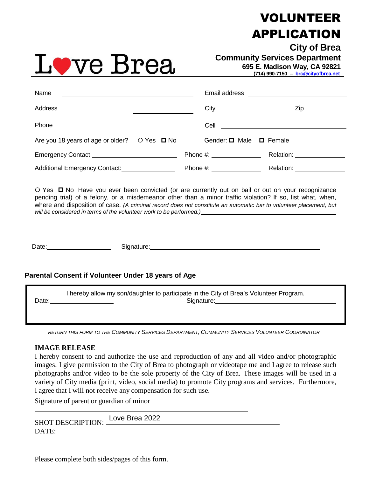## VOLUNTEER APPLICATION



**City of Brea Community Services Department** 

**695 E. Madison Way, CA 92821**

 **(714) 990-7150 – [brc@cityofbrea.net](mailto:brc@cityofbrea.net)**

| Name                               |            |                                 |                         |
|------------------------------------|------------|---------------------------------|-------------------------|
| Address                            |            | City                            | Zip                     |
| Phone                              |            | Cell                            |                         |
| Are you 18 years of age or older?  | O Yes □ No | Gender: □ Male □ Female         |                         |
|                                    |            | Phone #: $\frac{1}{2}$ Phone #: | Relation: _____________ |
| Additional Emergency Contact: 1986 |            | Phone #:                        | Relation:               |

 $\circ$  Yes  $\Box$  No Have you ever been convicted (or are currently out on bail or out on your recognizance pending trial) of a felony, or a misdemeanor other than a minor traffic violation? If so, list what, when, where and disposition of case*. (A criminal record does not constitute an automatic bar to volunteer placement, but will be considered in terms of the volunteer work to be performed.)*

Date: Signature: Signature: Signature: Signature: Signature: Signature: Signature: Signature: Signature: Signature: Signature: Signature: Signature: Signature: Signature: Signature: Signature: Signature: Signature: Signatu

## **Parental Consent if Volunteer Under 18 years of Age**

I hereby allow my son/daughter to participate in the City of Brea's Volunteer Program. Date: Signature: Signature: Signature: Signature: Signature: Signature: Signature: Signature: Signature: Signature: Signature: Signature: Signature: Signature: Signature: Signature: Signature: Signature: Signature: Signatu

RETURN THIS FORM TO THE COMMUNITY SERVICES DEPARTMENT, COMMUNITY SERVICES VOLUNTEER COORDINATOR

## **IMAGE RELEASE**

I hereby consent to and authorize the use and reproduction of any and all video and/or photographic images. I give permission to the City of Brea to photograph or videotape me and I agree to release such photographs and/or video to be the sole property of the City of Brea. These images will be used in a variety of City media (print, video, social media) to promote City programs and services. Furthermore, I agree that I will not receive any compensation for such use.

Signature of parent or guardian of minor

SHOT DESCRIPTION: DATE: Love Brea 2022

Please complete both sides/pages of this form.